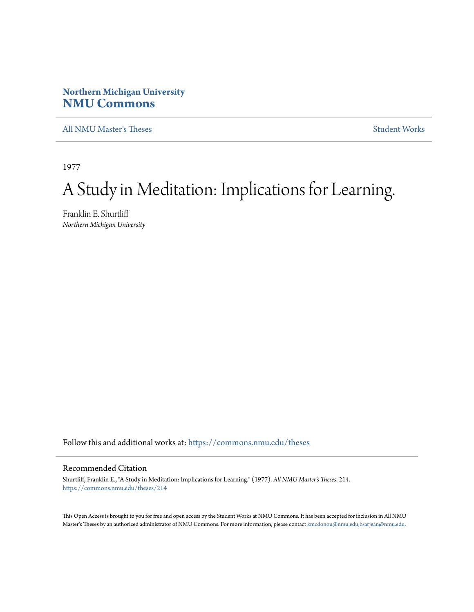# **Northern Michigan University [NMU Commons](https://commons.nmu.edu?utm_source=commons.nmu.edu%2Ftheses%2F214&utm_medium=PDF&utm_campaign=PDFCoverPages)**

[All NMU Master's Theses](https://commons.nmu.edu/theses?utm_source=commons.nmu.edu%2Ftheses%2F214&utm_medium=PDF&utm_campaign=PDFCoverPages) [Student Works](https://commons.nmu.edu/student_works?utm_source=commons.nmu.edu%2Ftheses%2F214&utm_medium=PDF&utm_campaign=PDFCoverPages)

1977

# A Study in Meditation: Implications for Learning.

Franklin E. Shurtliff *Northern Michigan University*

Follow this and additional works at: [https://commons.nmu.edu/theses](https://commons.nmu.edu/theses?utm_source=commons.nmu.edu%2Ftheses%2F214&utm_medium=PDF&utm_campaign=PDFCoverPages)

# Recommended Citation

Shurtliff, Franklin E., "A Study in Meditation: Implications for Learning." (1977). *All NMU Master's Theses*. 214. [https://commons.nmu.edu/theses/214](https://commons.nmu.edu/theses/214?utm_source=commons.nmu.edu%2Ftheses%2F214&utm_medium=PDF&utm_campaign=PDFCoverPages)

This Open Access is brought to you for free and open access by the Student Works at NMU Commons. It has been accepted for inclusion in All NMU Master's Theses by an authorized administrator of NMU Commons. For more information, please contact [kmcdonou@nmu.edu,bsarjean@nmu.edu.](mailto:kmcdonou@nmu.edu,bsarjean@nmu.edu)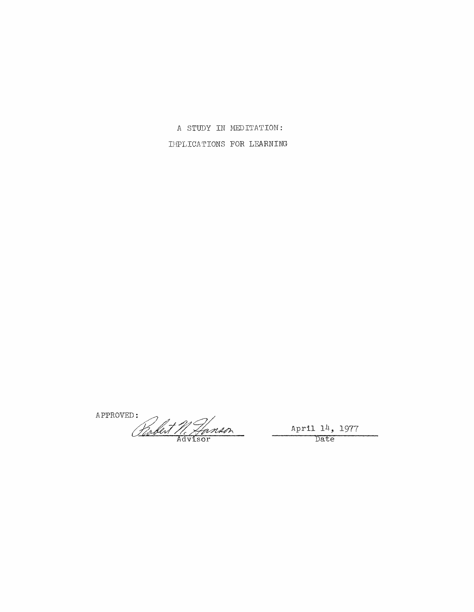A STUDY IN MEDITATION: IMPLICATIONS FOR LEARNING

APPROVED: D:<br>
Clarket M. Hanson April 14, 1977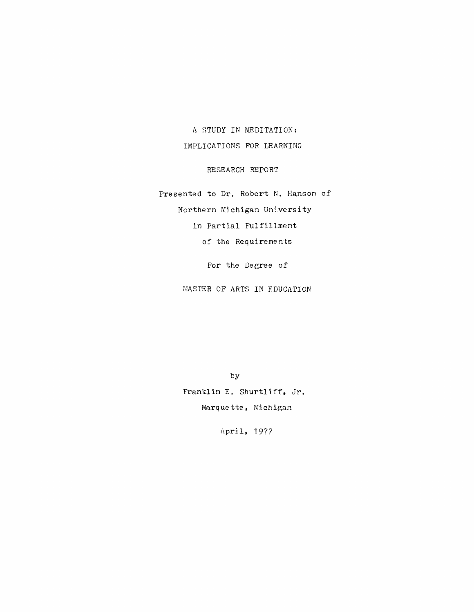A STUDY IN MEDITATION: IMPLICATIONS FOR LEARNING

RESEARCH REPORT

Presented to Dr. Robert N. Hanson of Northern Michigan University in Partial Fulfillment of the Requirements

For the Degree of

MASTER OF ARTS IN EDUCATION

by Franklin E. Shurtliff, Jr. Marquette, Michigan

April, 1977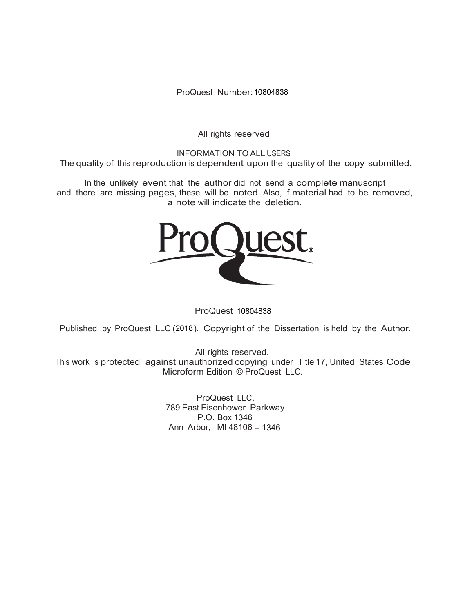ProQuest Number: 10804838

All rights reserved

INFORMATION TO ALL USERS The quality of this reproduction is dependent upon the quality of the copy submitted.

In the unlikely event that the author did not send a complete manuscript and there are missing pages, these will be noted. Also, if material had to be removed, a note will indicate the deletion.



ProQuest 10804838

Published by ProQuest LLC (2018). Copyright of the Dissertation is held by the Author.

All rights reserved. This work is protected against unauthorized copying under Title 17, United States Code Microform Edition © ProQuest LLC.

> ProQuest LLC. 789 East Eisenhower Parkway P.O. Box 1346 Ann Arbor, MI 48106 - 1346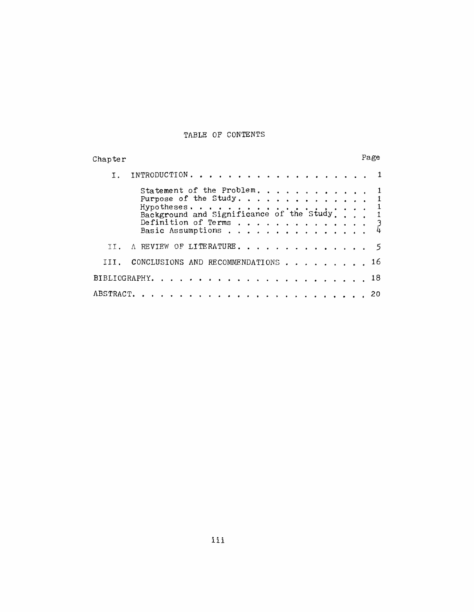# TABLE OF CONTENTS

| Chapter       |                                                                                                                                                                                                                               | Page |
|---------------|-------------------------------------------------------------------------------------------------------------------------------------------------------------------------------------------------------------------------------|------|
|               | .<br>INTRODUCTION.                                                                                                                                                                                                            |      |
|               | Statement of the Problem.<br>Purpose of the Study.                                                                                                                                                                            |      |
|               | Hypotheses<br>Background and Significance of the Study                                                                                                                                                                        |      |
|               | Definition of Terms<br>Basic Assumptions                                                                                                                                                                                      |      |
|               | OF LITERATURE.<br>A REVIEW                                                                                                                                                                                                    |      |
|               | CONCLUSIONS AND RECOMMENDATIONS                                                                                                                                                                                               |      |
| BIBLIOGRAPHY. |                                                                                                                                                                                                                               | 18   |
| ABSTRACT.     | . The contract of the contract of the contract of the contract of the contract of the contract of the contract of the contract of the contract of the contract of the contract of the contract of the contract of the contrac | 20   |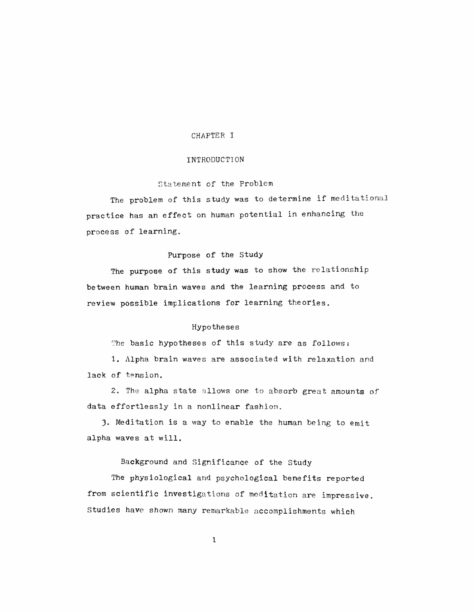#### CHAPTER I

#### **INTRODUCTION**

# Statement of the Problem

The problem of this study was to determine if meditational practice has an effect on human potential in enhancing the process of learning.

# Purpose of the Study

The purpose of this study was to show the relationship between human brain waves and the learning process and to review possible implications for learning theories.

### Hypotheses

The basic hypotheses of this study are as follows:

1. Alpha brain waves are associated with relaxation and lack of tension.

2. The alpha state allows one to absorb great amounts of data effortlessly in a nonlinear fashion.

3. Meditation is a way to enable the human being to emit alpha waves at will.

## Background and Significance of the Study

The physiological and psychological benefits reported from scientific investigations of meditation are impressive. Studies have shown many remarkable accomplishments which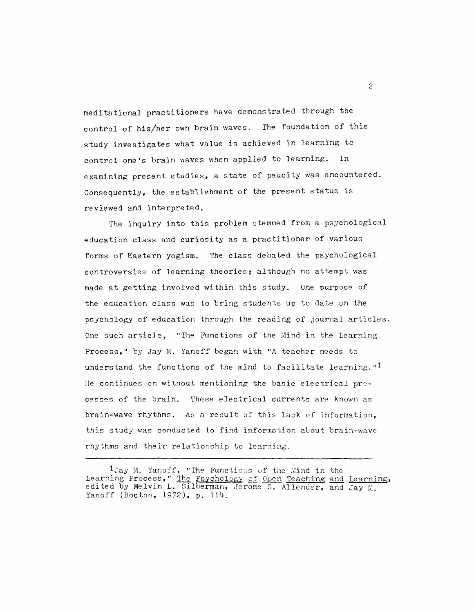meditational practitioners have demonstrated through the control of his/her own brain waves. The foundation of this study investigates what value is achieved in learning to control one's brain waves when applied to learning. In examining present studies, a state of paucity was encountered. Consequently, the establishment of the present status is reviewed and interpreted.

The inquiry into this problem stemmed from a psychological education class and curiosity as a practitioner of various forms of Eastern yogism. The class debated the psychological controversies of learning theories; although no attempt was made at getting involved within this study. One purpose of the education class was to bring students up to date on the psychology of education through the reading of journal articles. One such article, "The Functions of the Mind in the Learning Process," by Jay M. Yanoff began with "A teacher needs to understand the functions of the mind to facilitate learning."<sup>1</sup> He continues on without mentioning the basic electrical processes of the brain. These electrical currents are known as brain-wave rhythms. As a result of this lack of information. this study was conducted to find information about brain-wave rhythms and their relationship to learning.

<sup>1</sup>Jay M. Yanoff, "The Functions of the Mind in the Learning Process," The Psychology of Open Teaching and Learning, edited by Melvin L. Silberman, Jerome S. Allender, and Jay M. Yanoff (Boston, 1972), p. 114.

 $\overline{c}$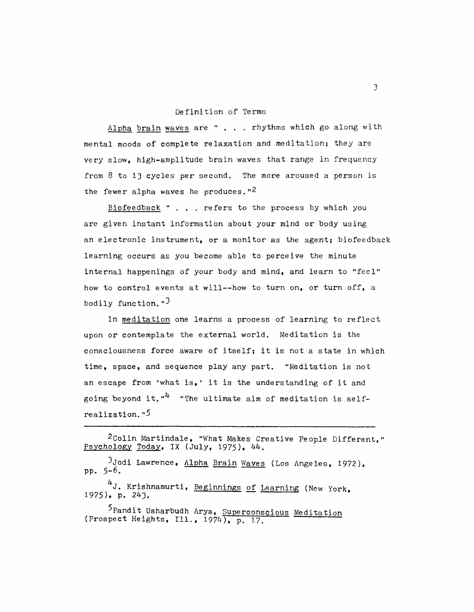# Definition of Terms

Alpha brain waves are " . . . rhythms which go along with mental moods of complete relaxation and meditation; they are very slow, high-amplitude brain waves that range in frequency from 8 to 13 cycles per second. The more aroused a person is the fewer alpha waves he produces."<sup>2</sup>

Biofeedback " . . . refers to the process by which you are given instant information about your mind or body using an electronic instrument, or a monitor as the agent; biofeedback learning occurs as you become able to perceive the minute internal happenings of your body and mind, and learn to "feel" how to control events at will--how to turn on, or turn off, a bodily function.  $\mathbf{F}^3$ 

In meditation one learns a process of learning to reflect upon or contemplate the external world. Meditation is the consciousness force aware of itself; it is not a state in which time, space, and sequence play any part. "Meditation is not an escape from 'what is,' it is the understanding of it and going beyond it."<sup>4</sup> "The ultimate aim of meditation is self $realization.$ "<sup>5</sup>

<sup>3</sup>Jodi Lawrence, Alpha Brain Waves (Los Angeles, 1972), pp.  $5-6$ .

4J. Krishnamurti, Beginnings of Learning (New York,  $1975$ , p.  $243$ .

5 Pandit Usharbudh Arya, Superconscious Meditation (Prospect Heights, Ill.,  $1974$ ), p. 17.

<sup>2</sup>Colin Martindale, "What Makes Creative People Different," Psychology Today, IX (July, 1975), 44.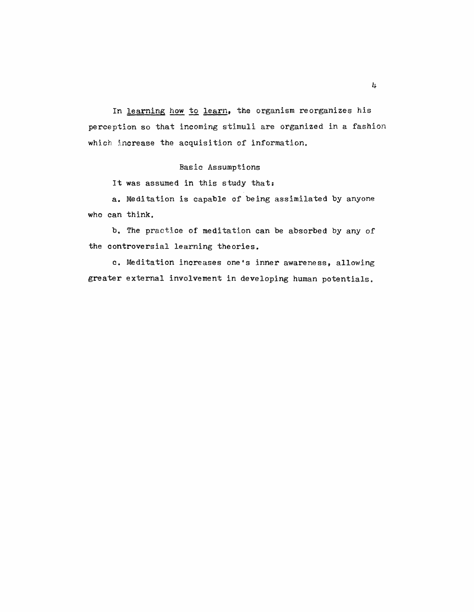In learning how to learn, the organism reorganizes his perception so that incoming stimuli are organized in a fashion which increase the acquisition of information.

# **Basic Assumptions**

It was assumed in this study that:

a. Meditation is capable of being assimilated by anyone who can think.

b. The practice of meditation can be absorbed by any of the controversial learning theories.

c. Meditation increases one's inner awareness, allowing greater external involvement in developing human potentials.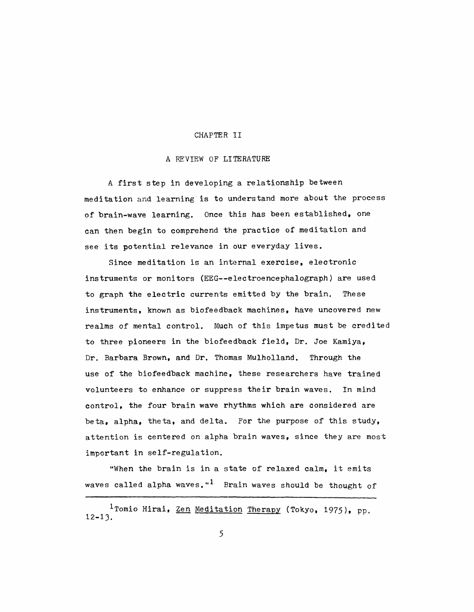#### CHAPTER II

# A REVIEW OF LITERATURE

A first step in developing a relationship between meditation and learning is to understand more about the process of brain-wave learning. Once this has been established, one can then begin to comprehend the practice of meditation and see its potential relevance in our everyday lives.

Since meditation is an internal exercise, electronic instruments or monitors (EEG--electroencephalograph) are used to graph the electric currents emitted by the brain. These instruments, known as biofeedback machines, have uncovered new realms of mental control. Much of this impetus must be credited to three pioneers in the biofeedback field, Dr. Joe Kamiya, Dr. Barbara Brown, and Dr. Thomas Mulholland. Through the use of the biofeedback machine, these researchers have trained volunteers to enhance or suppress their brain waves. In mind control, the four brain wave rhythms which are considered are beta, alpha, theta, and delta. For the purpose of this study, attention is centered on alpha brain waves, since they are most important in self-regulation.

"When the brain is in a state of relaxed calm, it emits waves called alpha waves."<sup>1</sup> Brain waves should be thought of

<sup>1</sup> Tomio Hirai, Zen Meditation Therapy (Tokyo, 1975), pp.  $12 - 13$ .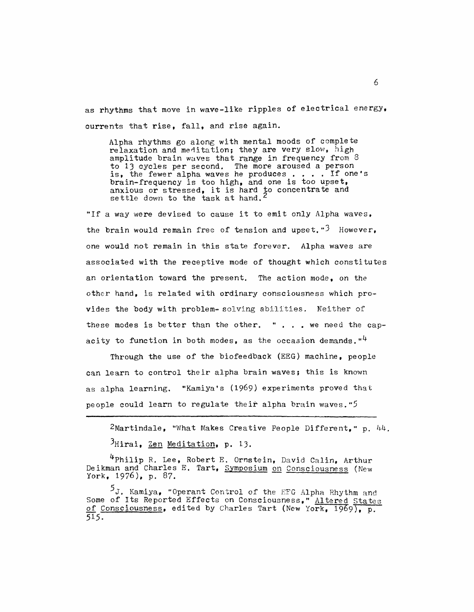as rhythms that move in wave-like ripples of electrical energy. currents that rise, fall, and rise again.

Alpha rhythms go along with mental moods of complete relaxation and meditation; they are very slow, high amplitude brain waves that range in frequency from 8 to 13 cycles per second. The more aroused a person<br>is, the fewer alpha waves he produces.... If one's brain-frequency is too high, and one is too upset, anxious or stressed, it is hard to concentrate and<br>settle down to the task at hand.<sup>2</sup>

"If a way were devised to cause it to emit only Alpha waves. the brain would remain free of tension and upset." $3$  However, one would not remain in this state forever. Alpha waves are associated with the receptive mode of thought which constitutes an orientation toward the present. The action mode, on the other hand, is related with ordinary consciousness which provides the body with problem-solving abilities. Neither of these modes is better than the other. "  $\ldots$  we need the capacity to function in both modes, as the occasion demands.  $"$ <sup>4</sup>

Through the use of the biofeedback (EEG) machine, people can learn to control their alpha brain waves; this is known as alpha learning. "Kamiya's (1969) experiments proved that people could learn to regulate their alpha brain waves."5

 $2$ Martindale, "What Makes Creative People Different," p.  $44$ .  $<sup>3</sup>$ Hirai, Zen Meditation, p. 13.</sup>

4Philip R. Lee, Robert E. Ornstein, David Calin, Arthur Deikman and Charles E. Tart, Symposium on Consciousness (New York,  $1976$ ), p. 87.

<sup>5</sup>J. Kamiya, "Operant Control of the EFG Alpha Rhythm and Some of Its Reported Effects on Consciousness," Altered States of Consciousness, edited by Charles Tart (New York, 1969), p. 515.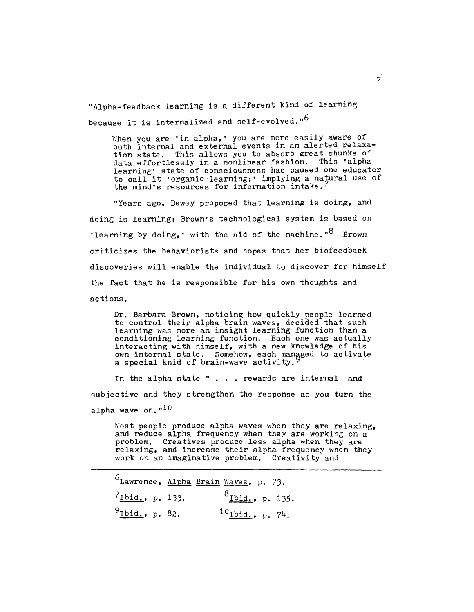"Alpha-feedback learning is a different kind of learning because it is internalized and self-evolved."<sup>6</sup>

When you are 'in alpha,' you are more easily aware of<br>both internal and external events in an alerted relaxation state. This allows you to absorb great chunks of data effortlessly in a nonlinear fashion. This 'alpha learning' state of consciousness has caused one educator<br>to call it 'organic learning;' implying a natural use of the mind's resources for information intake.

"Years ago, Dewey proposed that learning is doing, and doing is learning; Brown's technological system is based on 'learning by doing,' with the aid of the machine." $8$  Brown criticizes the behaviorists and hopes that her biofeedback discoveries will enable the individual to discover for himself the fact that he is responsible for his own thoughts and actions.

Dr. Barbara Brown, noticing how quickly people learned to control their alpha brain waves, decided that such learning was more an insight learning function than a conditioning learning function. Each one was actually<br>interacting with himself, with a new knowledge of his own internal state. Somehow, each managed to activate a special knid of brain-wave activity.

In the alpha state " . . . rewards are internal and subjective and they strengthen the response as you turn the alpha wave on." $10$ 

Most people produce alpha waves when they are relaxing, and reduce alpha frequency when they are working on a problem. Creatives produce less alpha when they are<br>relaxing, and increase their alpha frequency when they work on an imaginative problem. Creativity and

<sup>6</sup>Lawrence, Alpha Brain Waves, p. 73.  ${}^{8}$ Ibid., p. 135.  $7$ Ibid., p. 133.  $9$  Ibid., p. 82.  $^{10}$  Ibid., p. 74.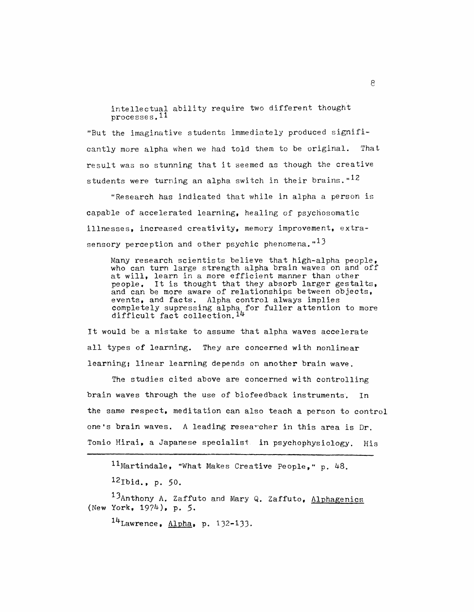intellectual ability require two different thought processes.<sup>11</sup>

"But the imaginative students immediately produced significantly more alpha when we had told them to be original. That result was so stunning that it seemed as though the creative students were turning an alpha switch in their brains."<sup>12</sup>

"Research has indicated that while in alpha a person is capable of accelerated learning, healing of psychosomatic illnesses, increased creativity, memory improvement, extrasensory perception and other psychic phenomena."<sup>13</sup>

Many research scientists believe that high-alpha people, who can turn large strength alpha brain waves on and off at will, learn in a more efficient manner than other people. It is thought that they absorb larger gestalts, and can be more aware of relationships between objects, events, and facts. Alpha control always implies completely supressing alpha for fuller attention to more difficult fact collection.  $14$ 

It would be a mistake to assume that alpha waves accelerate all types of learning. They are concerned with nonlinear learning; linear learning depends on another brain wave.

The studies cited above are concerned with controlling brain waves through the use of biofeedback instruments. Tn the same respect, meditation can also teach a person to control one's brain waves. A leading researcher in this area is Dr. Tomio Hirai, a Japanese specialist in psychophysiology. His

11 Martindale, "What Makes Creative People," p. 48.

 $^{12}$ Ibid., p. 50.

13Anthony A. Zaffuto and Mary Q. Zaffuto, Alphagenics (New York, 1974), p. 5.

 $14$ Lawrence, Alpha, p. 132-133.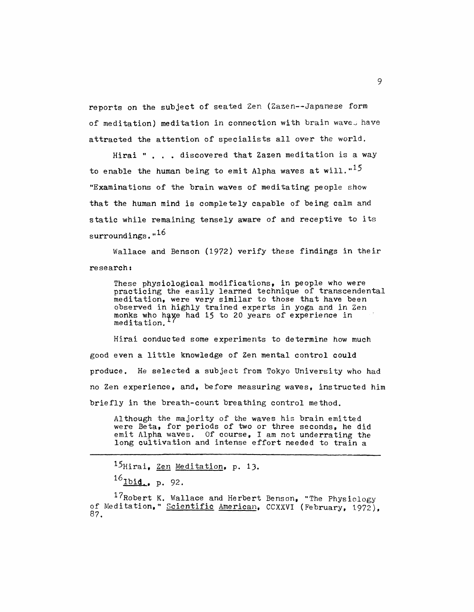reports on the subject of seated Zen (Zazen--Japanese form of meditation) meditation in connection with brain waves have attracted the attention of specialists all over the world.

Hirai " . . . discovered that Zazen meditation is a way to enable the human being to emit Alpha waves at will."<sup>15</sup> "Examinations of the brain waves of meditating people show that the human mind is completely capable of being calm and static while remaining tensely aware of and receptive to its surroundings."<sup>16</sup>

Wallace and Benson (1972) verify these findings in their research:

These physiological modifications, in people who were practicing the easily learned technique of transcendental meditation, were very similar to those that have been observed in highly trained experts in yoga and in Zen monks who have had 15 to 20 years of experience in meditation.

Hirai conducted some experiments to determine how much good even a little knowledge of Zen mental control could produce. He selected a subject from Tokyo University who had no Zen experience, and, before measuring waves, instructed him briefly in the breath-count breathing control method.

Although the majority of the waves his brain emitted were Beta, for periods of two or three seconds. he did emit Alpha waves. Of course, I am not underrating the long cultivation and intense effort needed to train a

<sup>15</sup>Hirai, Zen Meditation, p. 13.

 $^{16}$ Ibid., p. 92.

 $17$ Robert K. Wallace and Herbert Benson, "The Physiology of Meditation, " Scientific American, CCXXVI (February, 1972), 87.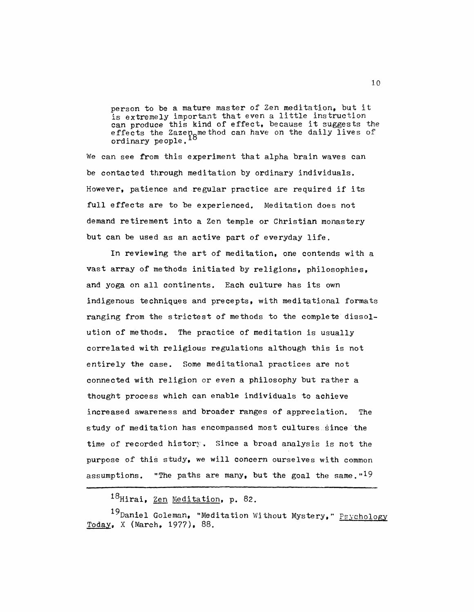person to be a mature master of Zen meditation, but it is extremely important that even a little instruction can produce this kind of effect, because it suggests the effects the Zazen method can have on the daily lives of<br>ordinary people.<sup>18</sup>

We can see from this experiment that alpha brain waves can be contacted through meditation by ordinary individuals. However, patience and regular practice are required if its full effects are to be experienced. Meditation does not demand retirement into a Zen temple or Christian monastery but can be used as an active part of everyday life.

In reviewing the art of meditation, one contends with a vast array of methods initiated by religions, philosophies. and yoga on all continents. Each culture has its own indigenous techniques and precepts, with meditational formats ranging from the strictest of methods to the complete dissolution of methods. The practice of meditation is usually correlated with religious regulations although this is not entirely the case. Some meditational practices are not connected with religion or even a philosophy but rather a thought process which can enable individuals to achieve increased awareness and broader ranges of appreciation. The study of meditation has encompassed most cultures since the time of recorded history. Since a broad analysis is not the purpose of this study, we will concern ourselves with common assumptions. "The paths are many, but the goal the same."<sup>19</sup>

 $^{18}$ Hirai, Zen Meditation, p. 82.

<sup>&</sup>lt;sup>19</sup>Daniel Goleman, "Meditation Without Mystery," Psychology Today, X (March, 1977), 88.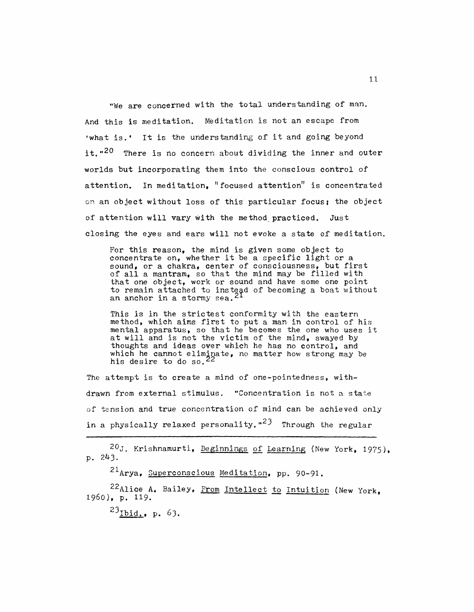"We are concerned with the total understanding of man. And this is meditation. Meditation is not an escape from 'what is.' It is the understanding of it and going beyond it."<sup>20</sup> There is no concern about dividing the inner and outer worlds but incorporating them into the conscious control of attention. In meditation, "focused attention" is concentrated on an object without loss of this particular focus; the object of attention will vary with the method practiced. Just closing the eyes and ears will not evoke a state of meditation.

For this reason, the mind is given some object to concentrate on, whether it be a specific light or a sound, or a chakra, center of consciousness, but first of all a mantram, so that the mind may be filled with that one object, work or sound and have some one point to remain attached to instead of becoming a boat without an anchor in a stormy sea.<sup>21</sup>

This is in the strictest conformity with the eastern method, which aims first to put a man in control of his mental apparatus, so that he becomes the one who uses it at will and is not the victim of the mind, swayed by thoughts and ideas over which he has no control, and which he cannot eliminate, no matter how strong may be his desire to do so.<sup>22</sup>

The attempt is to create a mind of one-pointedness, withdrawn from external stimulus. "Concentration is not a state of tension and true concentration of mind can be achieved only in a physically relaxed personality."<sup>23</sup> Through the regular

20J. Krishnamurti, Beginnings of Learning (New York, 1975), p. 243.

<sup>21</sup>Arya, Superconscious Meditation, pp. 90-91.

22Alice A. Bailey. From Intellect to Intuition (New York, 1960), p. 119.

 $^{23}$ Ibid., p. 63.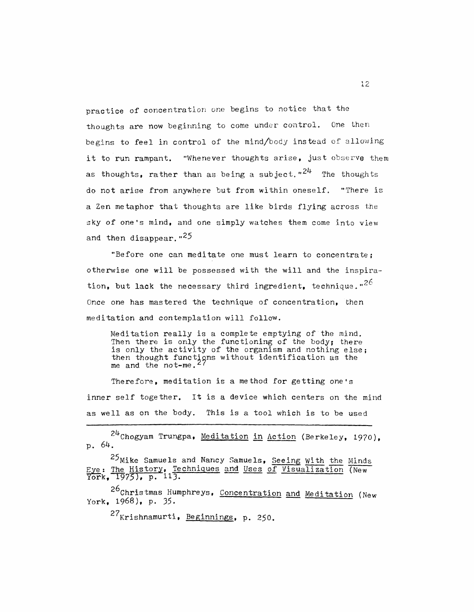practice of concentration one begins to notice that the thoughts are now beginning to come under control. One then begins to feel in control of the mind/body instead of allowing it to run rampant. "Whenever thoughts arise, just observe them as thoughts, rather than as being a subject." $24$  The thoughts do not arise from anywhere but from within oneself. "There is a Zen metaphor that thoughts are like birds flying across the sky of one's mind, and one simply watches them come into view and then disappear."<sup>25</sup>

"Before one can meditate one must learn to concentrate; otherwise one will be possessed with the will and the inspiration, but lack the necessary third ingredient. technique."26 Once one has mastered the technique of concentration, then meditation and contemplation will follow.

Meditation really is a complete emptying of the mind. Then there is only the functioning of the body; there is only the activity of the organism and nothing else; then thought functions without identification as the me and the not-me.<sup>27</sup>

Therefore, meditation is a method for getting one's inner self together. It is a device which centers on the mind as well as on the body. This is a tool which is to be used

 $24$ Chogyam Trungpa, Meditation in Action (Berkeley, 1970),  $p.64.$ 

<sup>25</sup>Mike Samuels and Nancy Samuels, Seeing With the Minds Eye: The History, Techniques and Uses of Visualization (New

26 Christmas Humphreys, Concentration and Meditation (New York, 1968), p. 35.

27<sub>Krishnamurti, Beginnings, p. 250.</sub>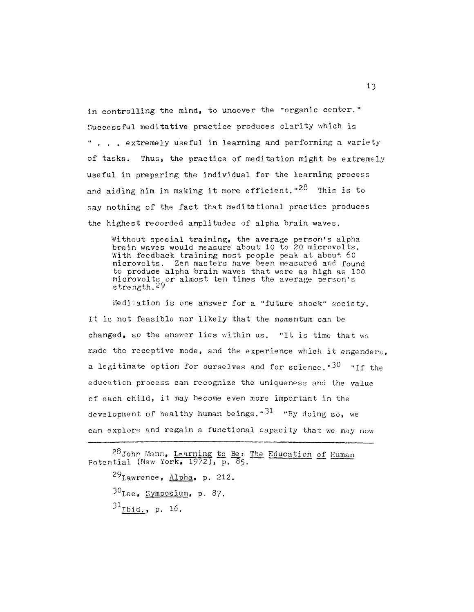in controlling the mind, to uncover the "organic center." Successful meditative practice produces clarity which is " . . . extremely useful in learning and performing a variety of tasks. Thus, the practice of meditation might be extremely useful in preparing the individual for the learning process and aiding him in making it more efficient."<sup>28</sup> This is to say nothing of the fact that meditational practice produces the highest recorded amplitudes of alpha brain waves.

Without special training, the average person's alpha brain waves would measure about 10 to 20 microvolts. With feedback training most people peak at about 60 microvolts. Zen masters have been measured and found to produce alpha brain waves that were as high as 100 microvolts or almost ten times the average person's<br>strength.<sup>29</sup>

Meditation is one answer for a "future shock" society. It is not feasible nor likely that the momentum can be changed, so the answer lies within us. "It is time that we made the receptive mode, and the experience which it engenders. a legitimate option for ourselves and for science."30 "If the education process can recognize the uniqueness and the value of each child, it may become even more important in the development of healthy human beings.  $3^1$  "By doing so. we can explore and regain a functional capacity that we may now

28 John Mann, Learning to Be: The Education of Human Potential (New York, 1972), p. 85.

 $^{29}$ Lawrence, Alpha, p. 212.  $30$ <sub>Lee,</sub> Symposium, p. 87.  $31$ <sub>Ibid., p. 16.</sub>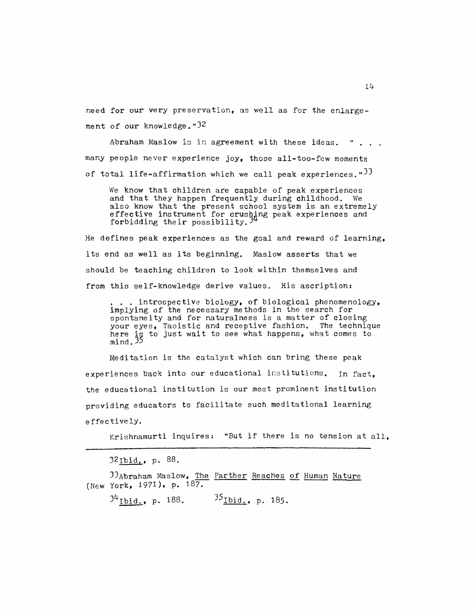need for our very preservation, as well as for the enlargement of our knowledge."32

Abraham Maslow is in agreement with these ideas.  $\mathbf{r}$  . . . many people never experience joy, those all-too-few moments of total life-affirmation which we call peak experiences."<sup>33</sup>

We know that children are capable of peak experiences and that they happen frequently during childhood. We also know that the present school system is an extremely<br>effective instrument for crushing peak experiences and<br>forbidding their possibility.<sup>34</sup>

He defines peak experiences as the goal and reward of learning, its end as well as its beginning. Maslow asserts that we should be teaching children to look within themselves and from this self-knowledge derive values. His ascription:

... introspective biology, of biological phenomenology, implying of the necessary methods in the search for spontaneity and for naturalness is a matter of closing your eyes, Taoistic and receptive fashion. The technique here is to just wait to see what happens, what comes to mind. 35

Meditation is the catalyst which can bring these peak experiences back into our educational institutions. In fact. the educational institution is our most prominent institution providing educators to facilitate such meditational learning effectively.

Krishnamurti inquires: "But if there is no tension at all.

32Ibid., p. 88.

33Abraham Maslow, The Farther Reaches of Human Nature (New York, 1971), p. 187.

 $3^{4}$  Ibid., p. 188.  $3^{5}$  Ibid., p. 185.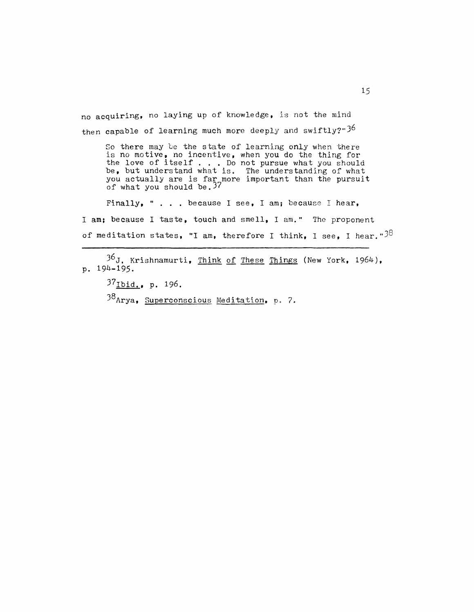no acquiring, no laying up of knowledge, is not the mind then capable of learning much more deeply and swiftly?" $3^{6}$ 

So there may be the state of learning only when there so there may be the state of fearning only when there<br>is no motive, no incentive, when you do the thing for<br>the love of itself... Do not pursue what you should<br>be, but understand what is. The understanding of what<br>you actu

Finally, " . . . because I see, I am; because I hear, I am; because I taste, touch and smell, I am." The proponent of meditation states, "I am, therefore I think, I see, I hear." $38$ 

 $36J$ , Krishnamurti, Think of These Things (New York, 1964), p. 194-195.

37 Ibid., p. 196.

38 Arya, Superconscious Meditation, p. 7.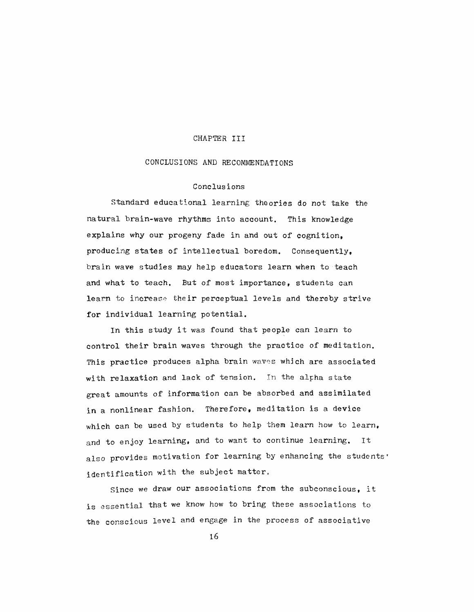#### CHAPTER III

# CONCLUSIONS AND RECOMMENDATIONS

# Conclusions

Standard educational learning theories do not take the natural brain-wave rhythms into account. This knowledge explains why our progeny fade in and out of cognition. producing states of intellectual boredom. Consequently, brain wave studies may help educators learn when to teach and what to teach. But of most importance, students can learn to increase their perceptual levels and thereby strive for individual learning potential.

In this study it was found that people can learn to control their brain waves through the practice of meditation. This practice produces alpha brain waves which are associated with relaxation and lack of tension. In the alpha state great amounts of information can be absorbed and assimilated in a nonlinear fashion. Therefore, meditation is a device which can be used by students to help them learn how to learn. and to enjoy learning, and to want to continue learning. It also provides motivation for learning by enhancing the students' identification with the subject matter.

Since we draw our associations from the subconscious, it is essential that we know how to bring these associations to the conscious level and engage in the process of associative

16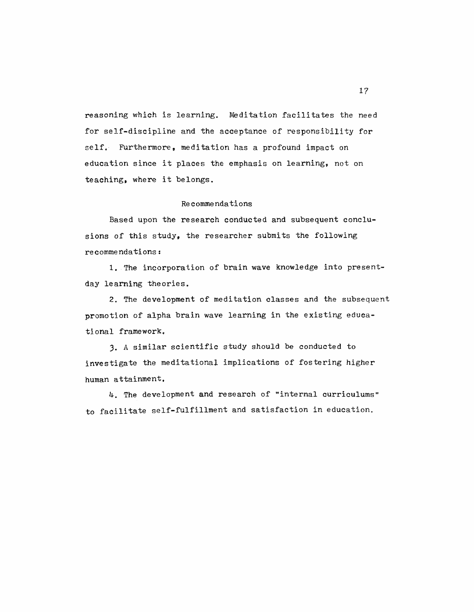reasoning which is learning. Meditation facilitates the need for self-discipline and the acceptance of responsibility for self. Furthermore, meditation has a profound impact on education since it places the emphasis on learning, not on teaching, where it belongs.

# Recommendations

Based upon the research conducted and subsequent conclusions of this study, the researcher submits the following  $recommentalions:$ 

1. The incorporation of brain wave knowledge into presentday learning theories.

2. The development of meditation classes and the subsequent promotion of alpha brain wave learning in the existing educational framework.

3. A similar scientific study should be conducted to investigate the meditational implications of fostering higher human attainment.

4. The development and research of "internal curriculums" to facilitate self-fulfillment and satisfaction in education.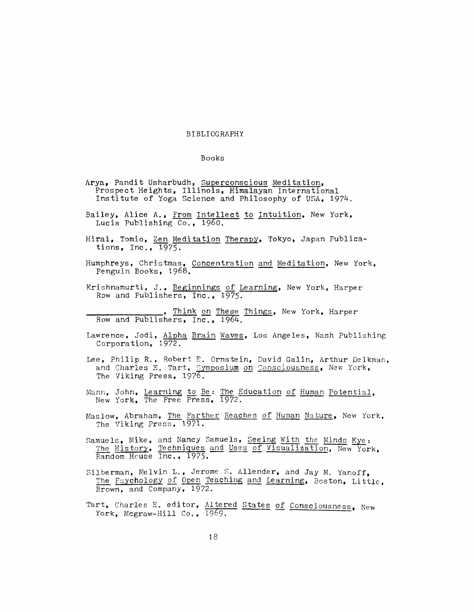#### BIBLIOGRAPHY

#### Books

- Arya, Pandit Usharbudh, Superconscious Meditation, Prospect Heights, Illinois, Himalayan International Institute of Yoga Science and Philosophy of USA, 1974.
- Bailey, Alice A., From Intellect to Intuition, New York, Lucis Publishing Co., 1960.
- Hirai, Tomio, Zen Meditation Therapy, Tokyo, Japan Publications,  $Inc., 1975.$
- Humphreys, Christmas, Concentration and Meditation, New York, Penguin Books, 1968.
- Krishnamurti, J., Beginnings of Learning, New York, Harper<br>Row and Publishers, Inc., 1975.
- Think on These Things, New York, Harper Row and Publishers, Inc., 1964.
- Lawrence, Jodi, Alpha Brain Waves, Los Angeles, Nash Publishing Corporation, 1972.
- Lee, Philip R., Robert E. Ornstein, David Galin, Arthur Deikman, and Charles E. Tart, Symposium on Consciousness, New York, The Viking Press, 1976.
- Mann, John, Learning to Be: The Education of Human Potential, New York, The Free Press, 1972.
- Maslow, Abraham, The Farther Reaches of Human Nature, New York, The Viking Press, 1971.
- Samuels, Mike, and Nancy Samuels, Seeing With the Minds Eye: The History, Techniques and Uses of Visualization, New York,
- Silberman, Melvin L., Jerome S. Allender, and Jay M. Yanoff, The Psychology of Open Teaching and Learning, Boston, Little, Brown, and Company, 1972.
- Tart, Charles E. editor, Altered States of Consciousness, New York, Mcgraw-Hill Co., 1969.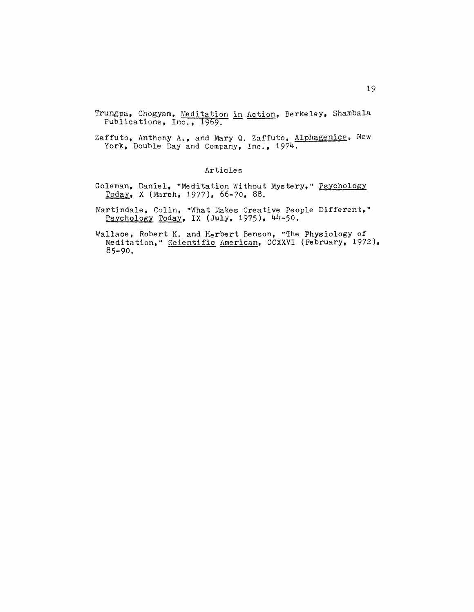Trungpa, Chogyam, Meditation in Action, Berkeley, Shambala Publications, Inc., 1969.

Zaffuto, Anthony A., and Mary Q. Zaffuto, Alphagenics, New York, Double Day and Company, Inc., 1974.

# Articles

- Goleman, Daniel, "Meditation Without Mystery," Psychology  $Today$ , X (March, 1977), 66-70, 88.</u>
- Martindale, Colin, "What Makes Creative People Different," Psychology Today, IX (July, 1975), 44-50.
- Wallace, Robert K. and Herbert Benson, "The Physiology of Meditation, " Scientific American, CCXXVI (February, 1972),  $85 - 90.$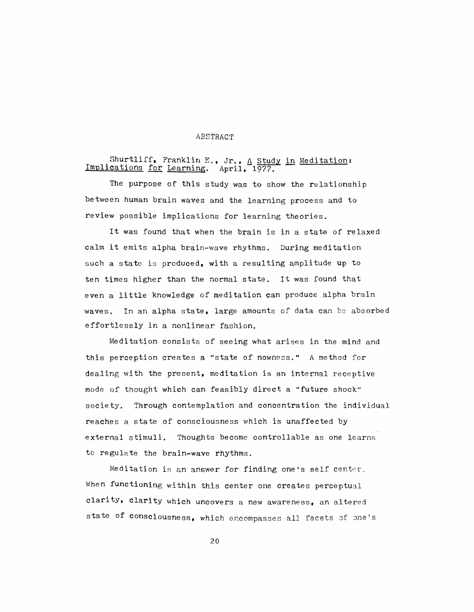#### ABSTRACT

# Shurtliff, Franklin E., Jr., A Study in Meditation:<br>Implications for Learning. April, 1977.

The purpose of this study was to show the relationship between human brain waves and the learning process and to review possible implications for learning theories.

It was found that when the brain is in a state of relaxed calm it emits alpha brain-wave rhythms. During meditation such a state is produced, with a resulting amplitude up to ten times higher than the normal state. It was found that even a little knowledge of meditation can produce alpha brain In an alpha state, large amounts of data can be absorbed waves. effortlessly in a nonlinear fashion.

Meditation consists of seeing what arises in the mind and this perception creates a "state of nowness." A method for dealing with the present, meditation is an internal receptive mode of thought which can feasibly direct a "future shock" society. Through contemplation and concentration the individual reaches a state of consciousness which is unaffected by external stimuli. Thoughts become controllable as one learns to regulate the brain-wave rhythms.

Meditation is an answer for finding one's self center. When functioning within this center one creates perceptual clarity, clarity which uncovers a new awareness, an altered state of consciousness, which encompasses all facets of one's

20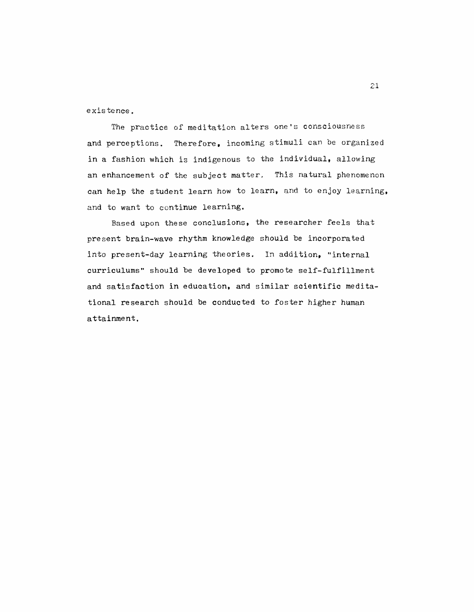existence.

The practice of meditation alters one's consciousness and perceptions. Therefore, incoming stimuli can be organized in a fashion which is indigenous to the individual, allowing an enhancement of the subject matter. This natural phenomenon can help the student learn how to learn, and to enjoy learning, and to want to continue learning.

Based upon these conclusions, the researcher feels that present brain-wave rhythm knowledge should be incorporated into present-day learning theories. In addition, "internal curriculums" should be developed to promote self-fulfillment and satisfaction in education, and similar scientific meditational research should be conducted to foster higher human attainment.